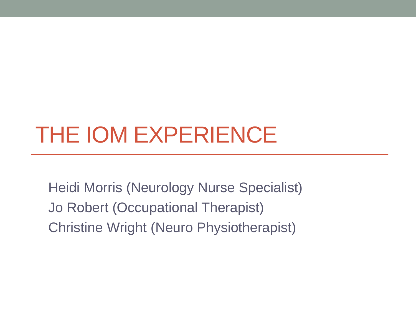# THE IOM EXPERIENCE

Heidi Morris (Neurology Nurse Specialist) Jo Robert (Occupational Therapist) Christine Wright (Neuro Physiotherapist)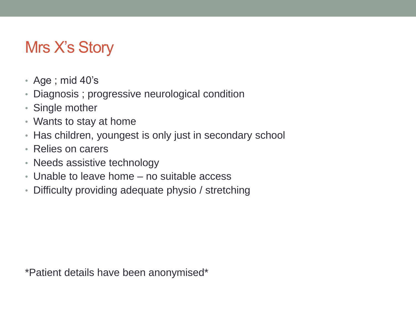#### Mrs X's Story

- Age ; mid 40's
- Diagnosis ; progressive neurological condition
- Single mother
- Wants to stay at home
- Has children, youngest is only just in secondary school
- Relies on carers
- Needs assistive technology
- Unable to leave home no suitable access
- Difficulty providing adequate physio / stretching

\*Patient details have been anonymised\*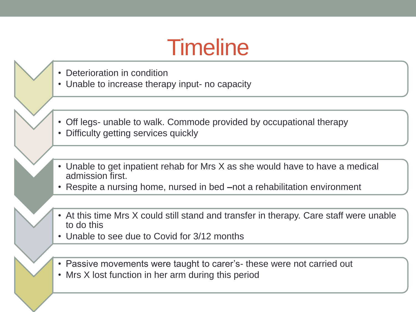### **Timeline**

- Deterioration in condition
- Unable to increase therapy input- no capacity
- Off legs- unable to walk. Commode provided by occupational therapy
- Difficulty getting services quickly
- Unable to get inpatient rehab for Mrs X as she would have to have a medical admission first.
- Respite a nursing home, nursed in bed **–**not a rehabilitation environment
- At this time Mrs X could still stand and transfer in therapy. Care staff were unable to do this
- Unable to see due to Covid for 3/12 months
- Passive movements were taught to carer's- these were not carried out
- Mrs X lost function in her arm during this period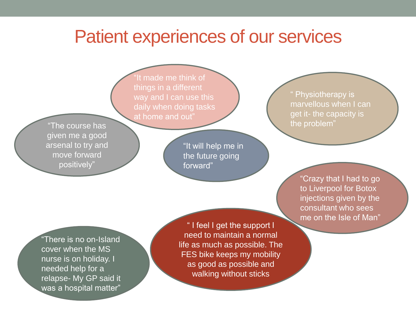#### Patient experiences of our services

"It made me think of things in a different way and I can use this daily when doing tasks at home and out"

"The course has given me a good arsenal to try and move forward positively"

"It will help me in the future going forward"

" Physiotherapy is marvellous when I can get it- the capacity is the problem"

"Crazy that I had to go to Liverpool for Botox injections given by the consultant who sees me on the Isle of Man"

"There is no on-Island cover when the MS nurse is on holiday. I needed help for a relapse- My GP said it was a hospital matter"

" I feel I get the support I need to maintain a normal life as much as possible. The FES bike keeps my mobility as good as possible and walking without sticks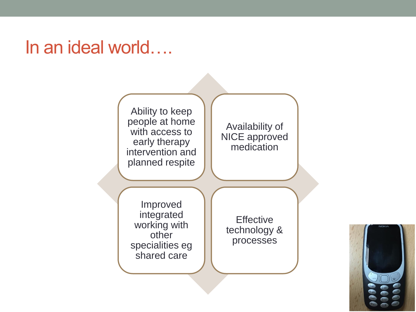### In an ideal world….